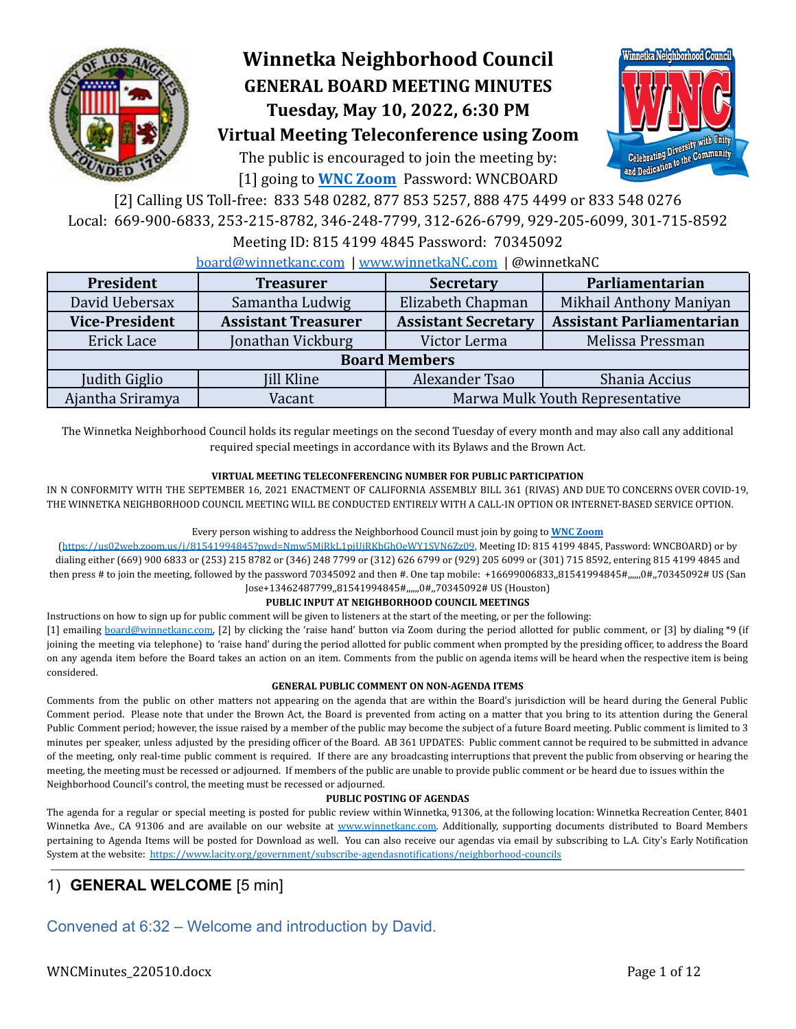

# **Winnetka Neighborhood Council GENERAL BOARD MEETING MINUTES Tuesday, May 10, 2022, 6:30 PM**



The public is encouraged to join the meeting by: [1] going to **[WNC Zoom](https://us02web.zoom.us/j/81541994845?pwd=Nmw5MjRkL1pjUjRKbGhOeWY1SVN6Zz09)** Password: WNCBOARD



[2] Calling US Toll-free: 833 548 0282, 877 853 5257, 888 475 4499 or 833 548 0276 Local: 669-900-6833, 253-215-8782, 346-248-7799, 312-626-6799, 929-205-6099, 301-715-8592

### Meeting ID: 815 4199 4845 Password: 70345092

[board@winnetkanc.com](mailto:board@winnetkanc.com) | [www.winnetkaNC.com](http://www.winnetkanc.com) | @winnetkaNC

| President             | <b>Treasurer</b>           |                                 | Parliamentarian                  |  |  |  |  |
|-----------------------|----------------------------|---------------------------------|----------------------------------|--|--|--|--|
| David Uebersax        | Samantha Ludwig            | Elizabeth Chapman               | Mikhail Anthony Maniyan          |  |  |  |  |
| <b>Vice-President</b> | <b>Assistant Treasurer</b> | <b>Assistant Secretary</b>      | <b>Assistant Parliamentarian</b> |  |  |  |  |
| Erick Lace            | Jonathan Vickburg          | Victor Lerma                    | Melissa Pressman                 |  |  |  |  |
| <b>Board Members</b>  |                            |                                 |                                  |  |  |  |  |
| Judith Giglio         | <b>Jill Kline</b>          | Alexander Tsao                  | Shania Accius                    |  |  |  |  |
| Ajantha Sriramya      | Vacant                     | Marwa Mulk Youth Representative |                                  |  |  |  |  |

The Winnetka Neighborhood Council holds its regular meetings on the second Tuesday of every month and may also call any additional required special meetings in accordance with its Bylaws and the Brown Act.

### **VIRTUAL MEETING TELECONFERENCING NUMBER FOR PUBLIC PARTICIPATION**

IN N CONFORMITY WITH THE SEPTEMBER 16, 2021 ENACTMENT OF CALIFORNIA ASSEMBLY BILL 361 (RIVAS) AND DUE TO CONCERNS OVER COVID-19, THE WINNETKA NEIGHBORHOOD COUNCIL MEETING WILL BE CONDUCTED ENTIRELY WITH A CALL-IN OPTION OR INTERNET-BASED SERVICE OPTION.

### Every person wishing to address the Neighborhood Council must join by going to **WNC [Zoom](https://us02web.zoom.us/j/81541994845?pwd=Nmw5MjRkL1pjUjRKbGhOeWY1SVN6Zz09)**

(<https://us02web.zoom.us/j/81541994845?pwd=Nmw5MjRkL1pjUjRKbGhOeWY1SVN6Zz09>, Meeting ID: 815 4199 4845, Password: WNCBOARD) or by dialing either (669) 900 6833 or (253) 215 8782 or (346) 248 7799 or (312) 626 6799 or (929) 205 6099 or (301) 715 8592, entering 815 4199 4845 and then press # to join the meeting, followed by the password 70345092 and then #. One tap mobile: +16699006833,,81541994845#,,,,,,0#,,70345092# US (San Jose+13462487799,,81541994845#,,,,,,0#,,70345092# US (Houston)

### **PUBLIC INPUT AT NEIGHBORHOOD COUNCIL MEETINGS**

Instructions on how to sign up for public comment will be given to listeners at the start of the meeting, or per the following:

[1] emailing [board@winnetkanc.com,](mailto:board@winnetkanc.com) [2] by clicking the 'raise hand' button via Zoom during the period allotted for public comment, or [3] by dialing \*9 (if joining the meeting via telephone) to 'raise hand' during the period allotted for public comment when prompted by the presiding officer, to address the Board on any agenda item before the Board takes an action on an item. Comments from the public on agenda items will be heard when the respective item is being considered.

### **GENERAL PUBLIC COMMENT ON NON-AGENDA ITEMS**

Comments from the public on other matters not appearing on the agenda that are within the Board's jurisdiction will be heard during the General Public Comment period. Please note that under the Brown Act, the Board is prevented from acting on a matter that you bring to its attention during the General Public Comment period; however, the issue raised by a member of the public may become the subject of a future Board meeting. Public comment is limited to 3 minutes per speaker, unless adjusted by the presiding officer of the Board. AB 361 UPDATES: Public comment cannot be required to be submitted in advance of the meeting, only real-time public comment is required. If there are any broadcasting interruptions that prevent the public from observing or hearing the meeting, the meeting must be recessed or adjourned. If members of the public are unable to provide public comment or be heard due to issues within the Neighborhood Council's control, the meeting must be recessed or adjourned.

### **PUBLIC POSTING OF AGENDAS**

The agenda for a regular or special meeting is posted for public review within Winnetka, 91306, at the following location: Winnetka Recreation Center, 8401 Winnetka Ave., CA 91306 and are available on our website at www.winnetkanc.com. Additionally, supporting documents distributed to Board Members pertaining to Agenda Items will be posted for Download as well. You can also receive our agendas via email by subscribing to L.A. City's Early Notification System at the website: <https://www.lacity.org/government/subscribe-agendasnotifications/neighborhood-councils>

## 1) **GENERAL WELCOME** [5 min]

Convened at 6:32 – Welcome and introduction by David.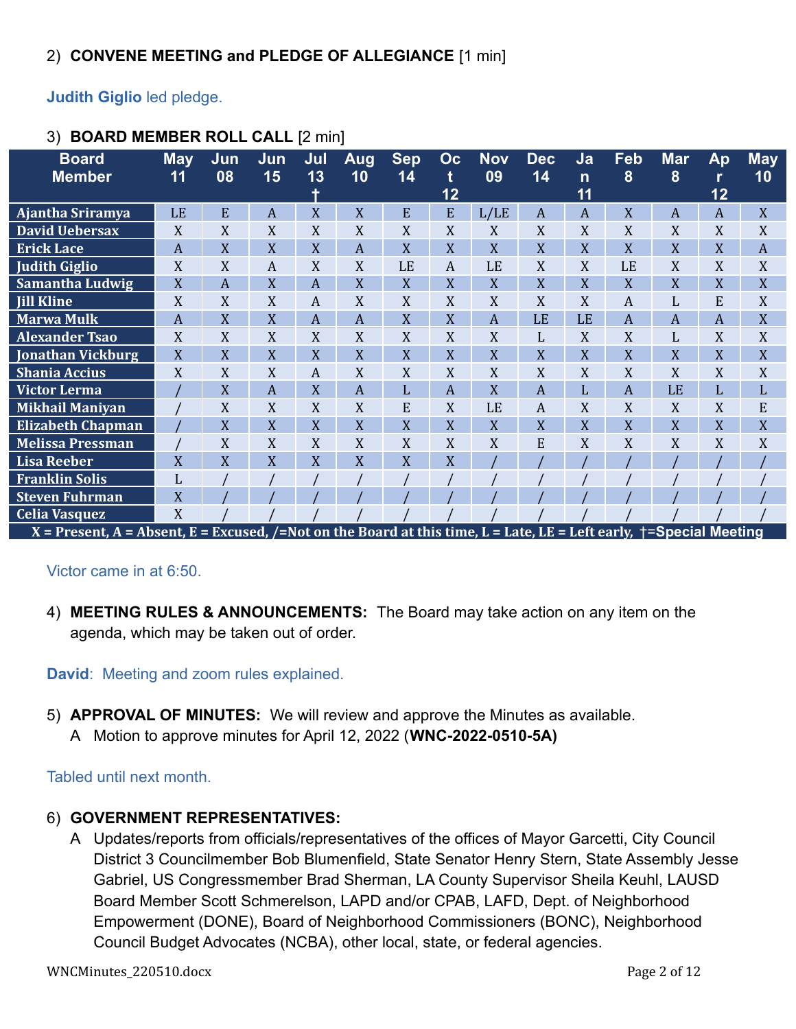**Judith Giglio** led pledge.

| <b>Board</b>                                                                                                        | <b>May</b>     | Jun | Jun | Jul            | Aug            | <b>Sep</b> | Oc             | <b>Nov</b> | <b>Dec</b> | Ja           | Feb | <b>Mar</b>     | Ap              | <b>May</b>     |
|---------------------------------------------------------------------------------------------------------------------|----------------|-----|-----|----------------|----------------|------------|----------------|------------|------------|--------------|-----|----------------|-----------------|----------------|
| <b>Member</b>                                                                                                       | 11             | 08  | 15  | 13             | 10             | 14         | t              | 09         | 14         | $\mathsf{n}$ | 8   | 8              |                 | 10             |
|                                                                                                                     |                |     |     |                |                |            | 12             |            |            | 11           |     |                | $\overline{1}2$ |                |
| Ajantha Sriramya                                                                                                    | <b>LE</b>      | E   | A   | X              | X              | E          | E              | L/LE       | A          | A            | X   | A              | A               | X              |
| <b>David Uebersax</b>                                                                                               | X              | X   | X   | X              | X              | X          | X              | X          | X          | X            | X   | X              | X               | X              |
| <b>Erick Lace</b>                                                                                                   | $\overline{A}$ | X   | X   | X              | $\overline{A}$ | X          | X              | X          | X          | X            | X   | X              | X               | $\overline{A}$ |
| <b>Judith Giglio</b>                                                                                                | X              | X   | A   | X              | X              | LE         | A              | LE         | X          | X            | LE  | X              | X               | X              |
| Samantha Ludwig                                                                                                     | X              | A   | X   | A              | X              | X          | X              | X          | X          | X            | X   | X              | X               | X              |
| <b>Jill Kline</b>                                                                                                   | X              | X   | X   | A              | X              | X          | X              | X          | X          | X            | A   | L              | E               | X              |
| <b>Marwa Mulk</b>                                                                                                   | $\overline{A}$ | X   | X   | $\overline{A}$ | $\overline{A}$ | X          | X              | A          | LE         | LE           | A   | $\overline{A}$ | A               | X              |
| <b>Alexander Tsao</b>                                                                                               | X              | X   | X   | X              | X              | X          | X              | X          | L          | X            | X   | L              | X               | X              |
| <b>Jonathan Vickburg</b>                                                                                            | X              | X   | X   | X              | X              | X          | X              | X          | X          | X            | X   | X              | X               | X              |
| <b>Shania Accius</b>                                                                                                | X              | X   | X   | A              | X              | X          | X              | X          | X          | X            | X   | X              | X               | X              |
| Victor Lerma                                                                                                        |                | X   | A   | X              | $\overline{A}$ | L          | $\overline{A}$ | X          | A          | L            | A   | LE             | L               | L              |
| <b>Mikhail Maniyan</b>                                                                                              |                | X   | X   | X              | X              | E          | X              | LE         | A          | X            | X   | X              | X               | E              |
| <b>Elizabeth Chapman</b>                                                                                            |                | X   | X   | X              | X              | X          | X              | X          | X          | X            | X   | X              | X               | X              |
| <b>Melissa Pressman</b>                                                                                             |                | X   | X   | X              | X              | X          | X              | X          | E          | X            | X   | X              | X               | X              |
| <b>Lisa Reeber</b>                                                                                                  | $\overline{X}$ | X   | X   | X              | X              | X          | X              |            |            |              |     |                |                 |                |
| <b>Franklin Solis</b>                                                                                               | L              |     |     |                |                |            |                |            |            |              |     |                |                 |                |
| <b>Steven Fuhrman</b>                                                                                               | $\overline{X}$ |     |     |                |                |            |                |            |            |              |     |                |                 |                |
| <b>Celia Vasquez</b>                                                                                                | X              |     |     |                |                |            |                |            |            |              |     |                |                 |                |
| X = Present, A = Absent, E = Excused, /=Not on the Board at this time, L = Late, LE = Left early, †=Special Meeting |                |     |     |                |                |            |                |            |            |              |     |                |                 |                |

## 3) **BOARD MEMBER ROLL CALL** [2 min]

Victor came in at 6:50.

4) **MEETING RULES & ANNOUNCEMENTS:** The Board may take action on any item on the agenda, which may be taken out of order.

**David**: Meeting and zoom rules explained.

5) **APPROVAL OF MINUTES:** We will review and approve the Minutes as available. A Motion to approve minutes for April 12, 2022 (**WNC-2022-0510-5A)**

Tabled until next month.

- 6) **GOVERNMENT REPRESENTATIVES:**
	- A Updates/reports from officials/representatives of the offices of Mayor Garcetti, City Council District 3 Councilmember Bob Blumenfield, State Senator Henry Stern, State Assembly Jesse Gabriel, US Congressmember Brad Sherman, LA County Supervisor Sheila Keuhl, LAUSD Board Member Scott Schmerelson, LAPD and/or CPAB, LAFD, Dept. of Neighborhood Empowerment (DONE), Board of Neighborhood Commissioners (BONC), Neighborhood Council Budget Advocates (NCBA), other local, state, or federal agencies.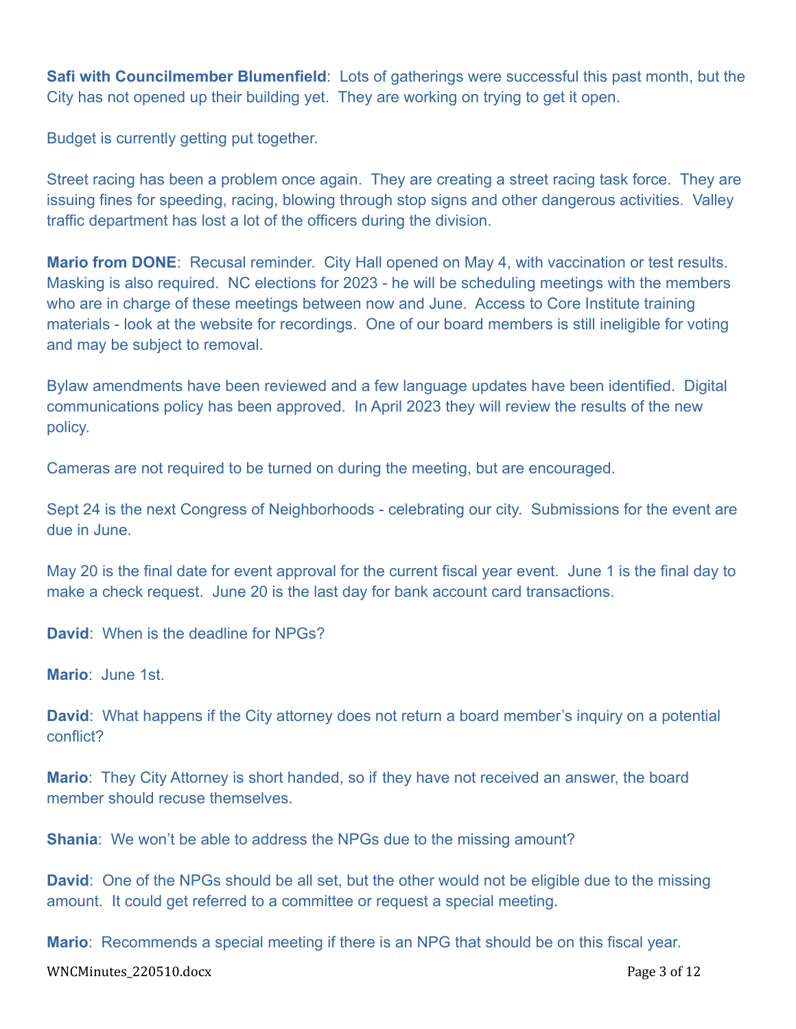**Safi with Councilmember Blumenfield**: Lots of gatherings were successful this past month, but the City has not opened up their building yet. They are working on trying to get it open.

Budget is currently getting put together.

Street racing has been a problem once again. They are creating a street racing task force. They are issuing fines for speeding, racing, blowing through stop signs and other dangerous activities. Valley traffic department has lost a lot of the officers during the division.

**Mario from DONE**: Recusal reminder. City Hall opened on May 4, with vaccination or test results. Masking is also required. NC elections for 2023 - he will be scheduling meetings with the members who are in charge of these meetings between now and June. Access to Core Institute training materials - look at the website for recordings. One of our board members is still ineligible for voting and may be subject to removal.

Bylaw amendments have been reviewed and a few language updates have been identified. Digital communications policy has been approved. In April 2023 they will review the results of the new policy.

Cameras are not required to be turned on during the meeting, but are encouraged.

Sept 24 is the next Congress of Neighborhoods - celebrating our city. Submissions for the event are due in June.

May 20 is the final date for event approval for the current fiscal year event. June 1 is the final day to make a check request. June 20 is the last day for bank account card transactions.

**David**: When is the deadline for NPGs?

**Mario**: June 1st.

**David**: What happens if the City attorney does not return a board member's inquiry on a potential conflict?

**Mario**: They City Attorney is short handed, so if they have not received an answer, the board member should recuse themselves.

**Shania**: We won't be able to address the NPGs due to the missing amount?

**David**: One of the NPGs should be all set, but the other would not be eligible due to the missing amount. It could get referred to a committee or request a special meeting.

**Mario**: Recommends a special meeting if there is an NPG that should be on this fiscal year.

WNCMinutes\_220510.docx Page 3 of 12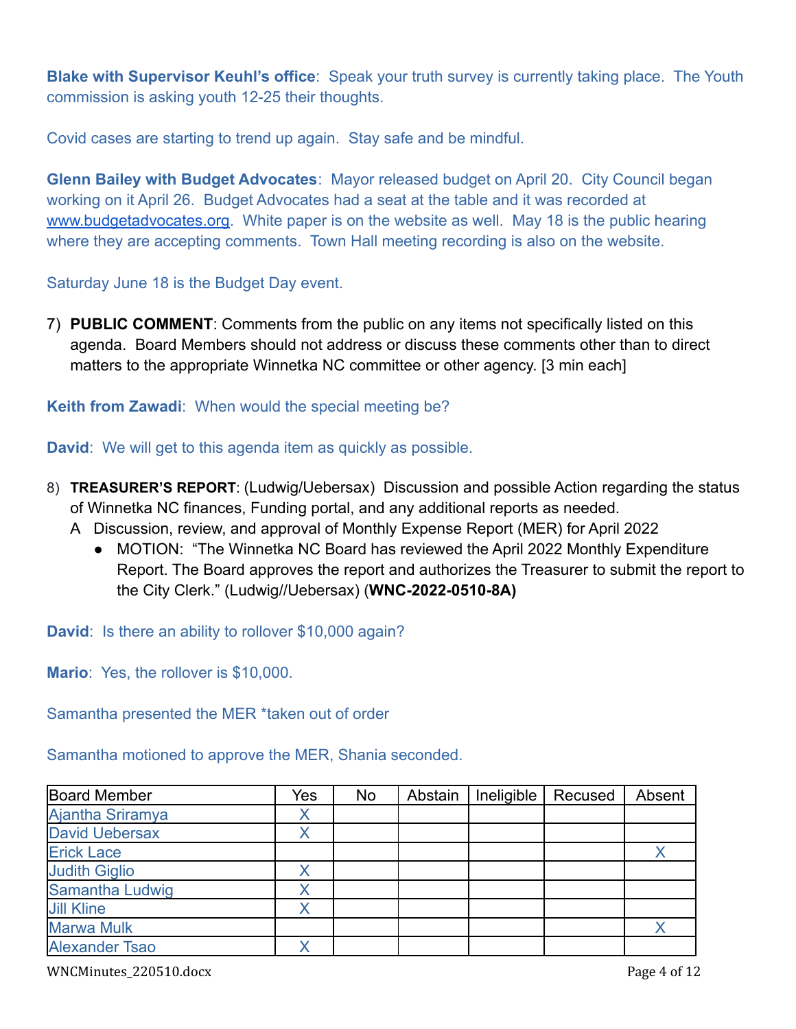**Blake with Supervisor Keuhl's office**: Speak your truth survey is currently taking place. The Youth commission is asking youth 12-25 their thoughts.

Covid cases are starting to trend up again. Stay safe and be mindful.

**Glenn Bailey with Budget Advocates**: Mayor released budget on April 20. City Council began working on it April 26. Budget Advocates had a seat at the table and it was recorded at [www.budgetadvocates.org.](http://www.budgetadvocates.org) White paper is on the website as well. May 18 is the public hearing where they are accepting comments. Town Hall meeting recording is also on the website.

Saturday June 18 is the Budget Day event.

7) **PUBLIC COMMENT**: Comments from the public on any items not specifically listed on this agenda. Board Members should not address or discuss these comments other than to direct matters to the appropriate Winnetka NC committee or other agency. [3 min each]

## **Keith from Zawadi**: When would the special meeting be?

**David**: We will get to this agenda item as quickly as possible.

- 8) **TREASURER'S REPORT**: (Ludwig/Uebersax) Discussion and possible Action regarding the status of Winnetka NC finances, Funding portal, and any additional reports as needed.
	- A Discussion, review, and approval of Monthly Expense Report (MER) for April 2022
		- MOTION: "The Winnetka NC Board has reviewed the April 2022 Monthly Expenditure Report. The Board approves the report and authorizes the Treasurer to submit the report to the City Clerk." (Ludwig//Uebersax) (**WNC-2022-0510-8A)**

**David:** Is there an ability to rollover \$10,000 again?

**Mario**: Yes, the rollover is \$10,000.

Samantha presented the MER \*taken out of order

Samantha motioned to approve the MER, Shania seconded.

| <b>Board Member</b>   | Yes | <b>No</b> | Abstain | Ineligible | Recused | Absent |
|-----------------------|-----|-----------|---------|------------|---------|--------|
| Ajantha Sriramya      |     |           |         |            |         |        |
| <b>David Uebersax</b> |     |           |         |            |         |        |
| <b>Erick Lace</b>     |     |           |         |            |         |        |
| <b>Judith Giglio</b>  |     |           |         |            |         |        |
| Samantha Ludwig       |     |           |         |            |         |        |
| <b>Jill Kline</b>     |     |           |         |            |         |        |
| <b>Marwa Mulk</b>     |     |           |         |            |         |        |
| <b>Alexander Tsao</b> |     |           |         |            |         |        |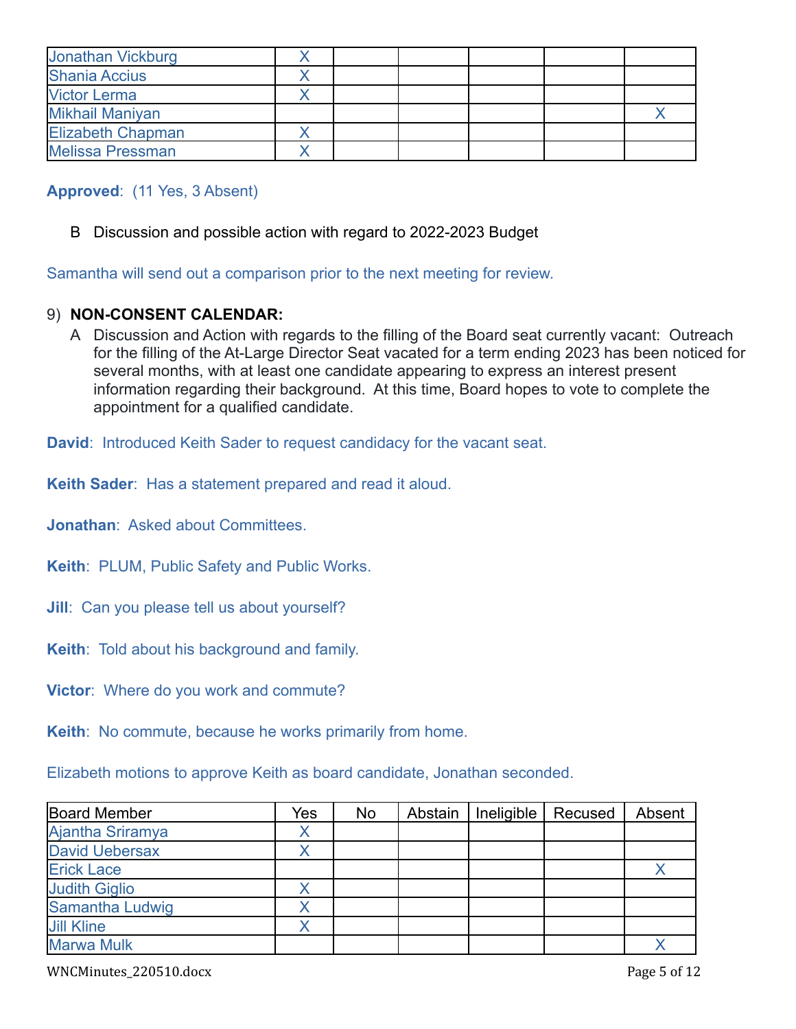| Jonathan Vickburg        |  |  |  |
|--------------------------|--|--|--|
| <b>Shania Accius</b>     |  |  |  |
| <b>Victor Lerma</b>      |  |  |  |
| <b>Mikhail Maniyan</b>   |  |  |  |
| <b>Elizabeth Chapman</b> |  |  |  |
| <b>Melissa Pressman</b>  |  |  |  |

## **Approved**: (11 Yes, 3 Absent)

B Discussion and possible action with regard to 2022-2023 Budget

Samantha will send out a comparison prior to the next meeting for review.

## 9) **NON-CONSENT CALENDAR:**

A Discussion and Action with regards to the filling of the Board seat currently vacant: Outreach for the filling of the At-Large Director Seat vacated for a term ending 2023 has been noticed for several months, with at least one candidate appearing to express an interest present information regarding their background. At this time, Board hopes to vote to complete the appointment for a qualified candidate.

**David**: Introduced Keith Sader to request candidacy for the vacant seat.

**Keith Sader**: Has a statement prepared and read it aloud.

**Jonathan**: Asked about Committees.

**Keith**: PLUM, Public Safety and Public Works.

- **Jill**: Can you please tell us about yourself?
- **Keith**: Told about his background and family.

**Victor**: Where do you work and commute?

**Keith**: No commute, because he works primarily from home.

Elizabeth motions to approve Keith as board candidate, Jonathan seconded.

| <b>Board Member</b>   | Yes | <b>No</b> | Abstain | Ineligible | Recused | Absent |
|-----------------------|-----|-----------|---------|------------|---------|--------|
| Ajantha Sriramya      |     |           |         |            |         |        |
| <b>David Uebersax</b> |     |           |         |            |         |        |
| <b>Erick Lace</b>     |     |           |         |            |         |        |
| <b>Judith Giglio</b>  |     |           |         |            |         |        |
| Samantha Ludwig       |     |           |         |            |         |        |
| <b>Jill Kline</b>     |     |           |         |            |         |        |
| <b>Marwa Mulk</b>     |     |           |         |            |         |        |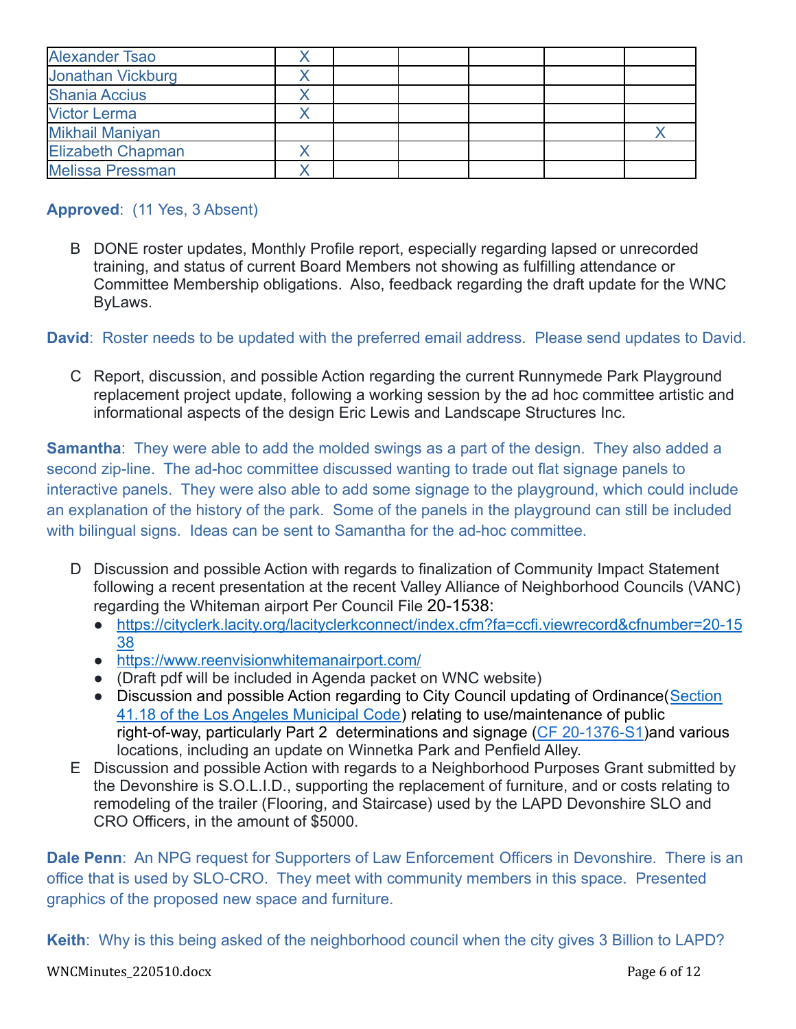| <b>Alexander Tsao</b>    |  |  |  |
|--------------------------|--|--|--|
| Jonathan Vickburg        |  |  |  |
| <b>Shania Accius</b>     |  |  |  |
| <b>Victor Lerma</b>      |  |  |  |
| <b>Mikhail Maniyan</b>   |  |  |  |
| <b>Elizabeth Chapman</b> |  |  |  |
| <b>Melissa Pressman</b>  |  |  |  |

## **Approved**: (11 Yes, 3 Absent)

B DONE roster updates, Monthly Profile report, especially regarding lapsed or unrecorded training, and status of current Board Members not showing as fulfilling attendance or Committee Membership obligations. Also, feedback regarding the draft update for the WNC ByLaws.

**David**: Roster needs to be updated with the preferred email address. Please send updates to David.

C Report, discussion, and possible Action regarding the current Runnymede Park Playground replacement project update, following a working session by the ad hoc committee artistic and informational aspects of the design Eric Lewis and Landscape Structures Inc.

**Samantha**: They were able to add the molded swings as a part of the design. They also added a second zip-line. The ad-hoc committee discussed wanting to trade out flat signage panels to interactive panels. They were also able to add some signage to the playground, which could include an explanation of the history of the park. Some of the panels in the playground can still be included with bilingual signs. Ideas can be sent to Samantha for the ad-hoc committee.

- D Discussion and possible Action with regards to finalization of Community Impact Statement following a recent presentation at the recent Valley Alliance of Neighborhood Councils (VANC) regarding the Whiteman airport Per Council File 20-1538:
	- [https://cityclerk.lacity.org/lacityclerkconnect/index.cfm?fa=ccfi.viewrecord&cfnumber=20-15](https://cityclerk.lacity.org/lacityclerkconnect/index.cfm?fa=ccfi.viewrecord&cfnumber=20-1538) [38](https://cityclerk.lacity.org/lacityclerkconnect/index.cfm?fa=ccfi.viewrecord&cfnumber=20-1538)
	- <https://www.reenvisionwhitemanairport.com/>
	- (Draft pdf will be included in Agenda packet on WNC website)
	- Discussion and possible Action regarding to City Council updating of Ordinance([Section](https://clkrep.lacity.org/onlinedocs/2020/20-1376-S1_ord_187127_09-03-21.pdf) [41.18 of the Los Angeles Municipal Code\)](https://clkrep.lacity.org/onlinedocs/2020/20-1376-S1_ord_187127_09-03-21.pdf) relating to use/maintenance of public right-of-way, particularly Part 2 determinations and signage [\(CF 20-1376-S1](https://cityclerk.lacity.org/lacityclerkconnect/index.cfm?fa=ccfi.viewrecord&cfnumber=20-1376-S1))and various locations, including an update on Winnetka Park and Penfield Alley.
- E Discussion and possible Action with regards to a Neighborhood Purposes Grant submitted by the Devonshire is S.O.L.I.D., supporting the replacement of furniture, and or costs relating to remodeling of the trailer (Flooring, and Staircase) used by the LAPD Devonshire SLO and CRO Officers, in the amount of \$5000.

**Dale Penn**: An NPG request for Supporters of Law Enforcement Officers in Devonshire. There is an office that is used by SLO-CRO. They meet with community members in this space. Presented graphics of the proposed new space and furniture.

**Keith**: Why is this being asked of the neighborhood council when the city gives 3 Billion to LAPD?

### WNCMinutes\_220510.docx Page 6 of 12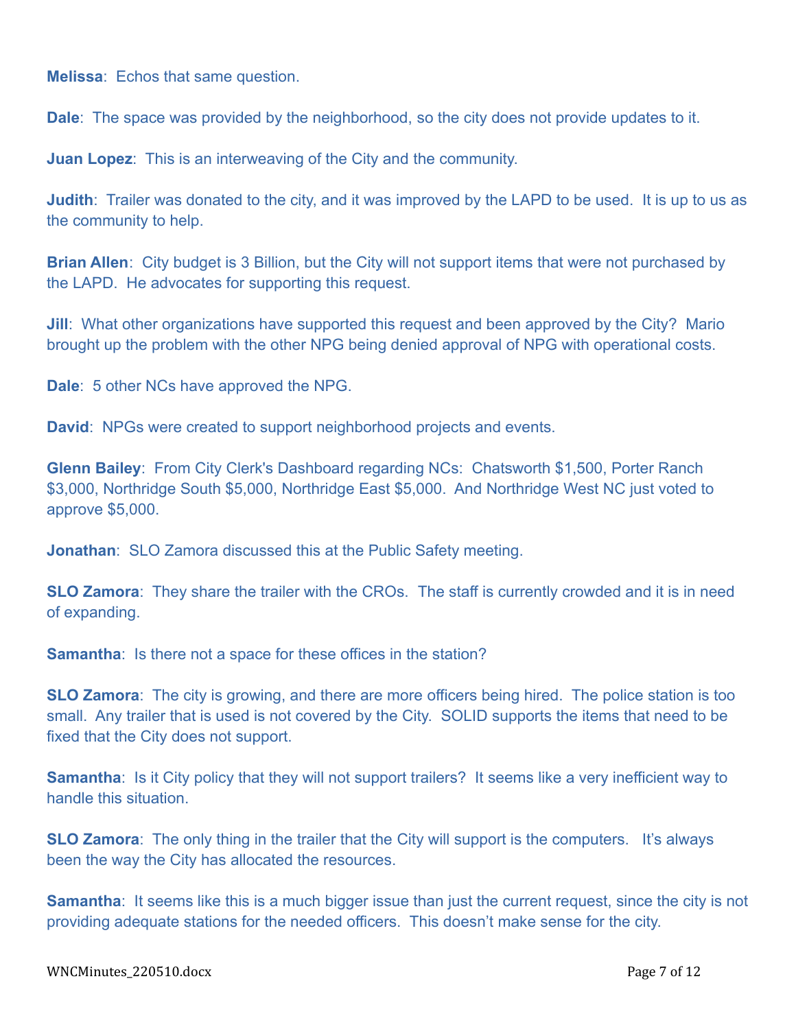**Melissa**: Echos that same question.

**Dale**: The space was provided by the neighborhood, so the city does not provide updates to it.

**Juan Lopez**: This is an interweaving of the City and the community.

**Judith**: Trailer was donated to the city, and it was improved by the LAPD to be used. It is up to us as the community to help.

**Brian Allen**: City budget is 3 Billion, but the City will not support items that were not purchased by the LAPD. He advocates for supporting this request.

**Jill**: What other organizations have supported this request and been approved by the City? Mario brought up the problem with the other NPG being denied approval of NPG with operational costs.

**Dale**: 5 other NCs have approved the NPG.

**David**: NPGs were created to support neighborhood projects and events.

**Glenn Bailey**: From City Clerk's Dashboard regarding NCs: Chatsworth \$1,500, Porter Ranch \$3,000, Northridge South \$5,000, Northridge East \$5,000. And Northridge West NC just voted to approve \$5,000.

**Jonathan**: SLO Zamora discussed this at the Public Safety meeting.

**SLO Zamora**: They share the trailer with the CROs. The staff is currently crowded and it is in need of expanding.

**Samantha:** Is there not a space for these offices in the station?

**SLO Zamora**: The city is growing, and there are more officers being hired. The police station is too small. Any trailer that is used is not covered by the City. SOLID supports the items that need to be fixed that the City does not support.

**Samantha**: Is it City policy that they will not support trailers? It seems like a very inefficient way to handle this situation.

**SLO Zamora**: The only thing in the trailer that the City will support is the computers. It's always been the way the City has allocated the resources.

**Samantha**: It seems like this is a much bigger issue than just the current request, since the city is not providing adequate stations for the needed officers. This doesn't make sense for the city.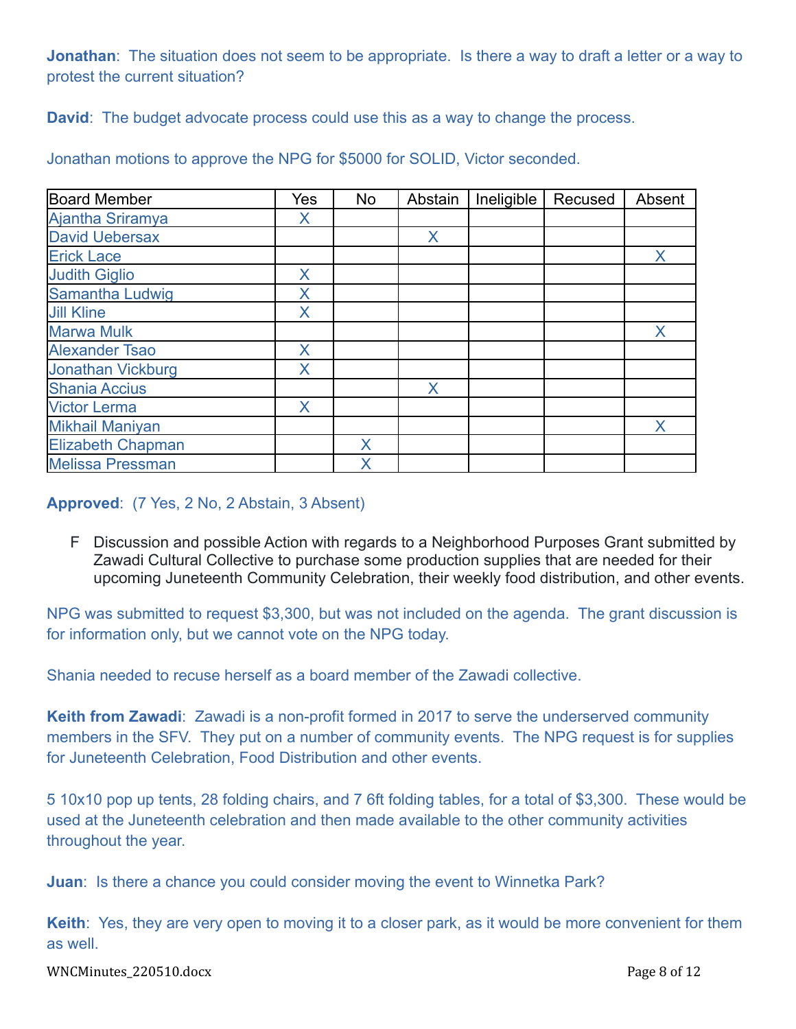**Jonathan**: The situation does not seem to be appropriate. Is there a way to draft a letter or a way to protest the current situation?

**David**: The budget advocate process could use this as a way to change the process.

| <b>Board Member</b>      | Yes | No | Abstain | Ineligible | Recused | Absent |
|--------------------------|-----|----|---------|------------|---------|--------|
| Ajantha Sriramya         | X   |    |         |            |         |        |
| <b>David Uebersax</b>    |     |    | X       |            |         |        |
| <b>Erick Lace</b>        |     |    |         |            |         |        |
| <b>Judith Giglio</b>     | X   |    |         |            |         |        |
| Samantha Ludwig          |     |    |         |            |         |        |
| <b>Jill Kline</b>        | X   |    |         |            |         |        |
| <b>Marwa Mulk</b>        |     |    |         |            |         | X      |
| <b>Alexander Tsao</b>    | Χ   |    |         |            |         |        |
| Jonathan Vickburg        | X   |    |         |            |         |        |
| Shania Accius            |     |    | X       |            |         |        |
| <b>Victor Lerma</b>      | X   |    |         |            |         |        |
| <b>Mikhail Maniyan</b>   |     |    |         |            |         | X      |
| <b>Elizabeth Chapman</b> |     | X  |         |            |         |        |
| <b>Melissa Pressman</b>  |     | Χ  |         |            |         |        |

Jonathan motions to approve the NPG for \$5000 for SOLID, Victor seconded.

**Approved**: (7 Yes, 2 No, 2 Abstain, 3 Absent)

F Discussion and possible Action with regards to a Neighborhood Purposes Grant submitted by Zawadi Cultural Collective to purchase some production supplies that are needed for their upcoming Juneteenth Community Celebration, their weekly food distribution, and other events.

NPG was submitted to request \$3,300, but was not included on the agenda. The grant discussion is for information only, but we cannot vote on the NPG today.

Shania needed to recuse herself as a board member of the Zawadi collective.

**Keith from Zawadi**: Zawadi is a non-profit formed in 2017 to serve the underserved community members in the SFV. They put on a number of community events. The NPG request is for supplies for Juneteenth Celebration, Food Distribution and other events.

5 10x10 pop up tents, 28 folding chairs, and 7 6ft folding tables, for a total of \$3,300. These would be used at the Juneteenth celebration and then made available to the other community activities throughout the year.

**Juan**: Is there a chance you could consider moving the event to Winnetka Park?

**Keith**: Yes, they are very open to moving it to a closer park, as it would be more convenient for them as well.

WNCMinutes\_220510.docx Page 8 of 12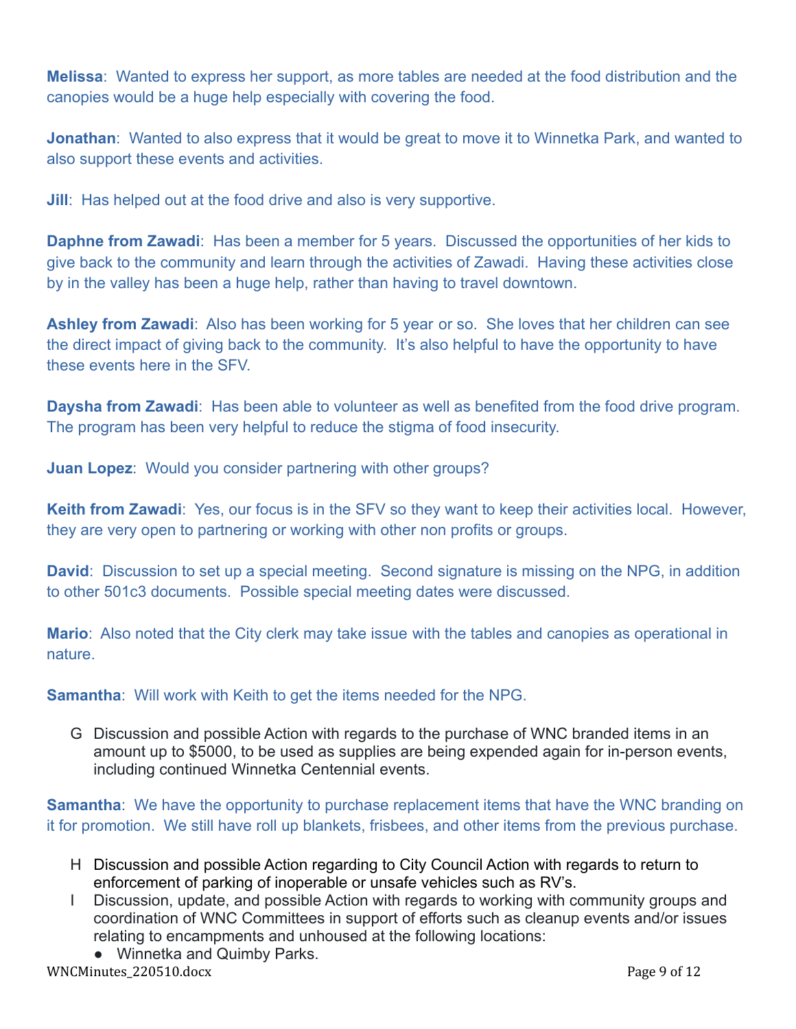**Melissa**: Wanted to express her support, as more tables are needed at the food distribution and the canopies would be a huge help especially with covering the food.

**Jonathan**: Wanted to also express that it would be great to move it to Winnetka Park, and wanted to also support these events and activities.

**Jill:** Has helped out at the food drive and also is very supportive.

**Daphne from Zawadi**: Has been a member for 5 years. Discussed the opportunities of her kids to give back to the community and learn through the activities of Zawadi. Having these activities close by in the valley has been a huge help, rather than having to travel downtown.

**Ashley from Zawadi**: Also has been working for 5 year or so. She loves that her children can see the direct impact of giving back to the community. It's also helpful to have the opportunity to have these events here in the SFV.

**Daysha from Zawadi**: Has been able to volunteer as well as benefited from the food drive program. The program has been very helpful to reduce the stigma of food insecurity.

**Juan Lopez**: Would you consider partnering with other groups?

**Keith from Zawadi**: Yes, our focus is in the SFV so they want to keep their activities local. However, they are very open to partnering or working with other non profits or groups.

**David:** Discussion to set up a special meeting. Second signature is missing on the NPG, in addition to other 501c3 documents. Possible special meeting dates were discussed.

**Mario**: Also noted that the City clerk may take issue with the tables and canopies as operational in nature.

**Samantha**: Will work with Keith to get the items needed for the NPG.

G Discussion and possible Action with regards to the purchase of WNC branded items in an amount up to \$5000, to be used as supplies are being expended again for in-person events, including continued Winnetka Centennial events.

**Samantha**: We have the opportunity to purchase replacement items that have the WNC branding on it for promotion. We still have roll up blankets, frisbees, and other items from the previous purchase.

- H Discussion and possible Action regarding to City Council Action with regards to return to enforcement of parking of inoperable or unsafe vehicles such as RV's.
- I Discussion, update, and possible Action with regards to working with community groups and coordination of WNC Committees in support of efforts such as cleanup events and/or issues relating to encampments and unhoused at the following locations:
- Winnetka and Quimby Parks. WNCMinutes\_220510.docx Page 9 of 12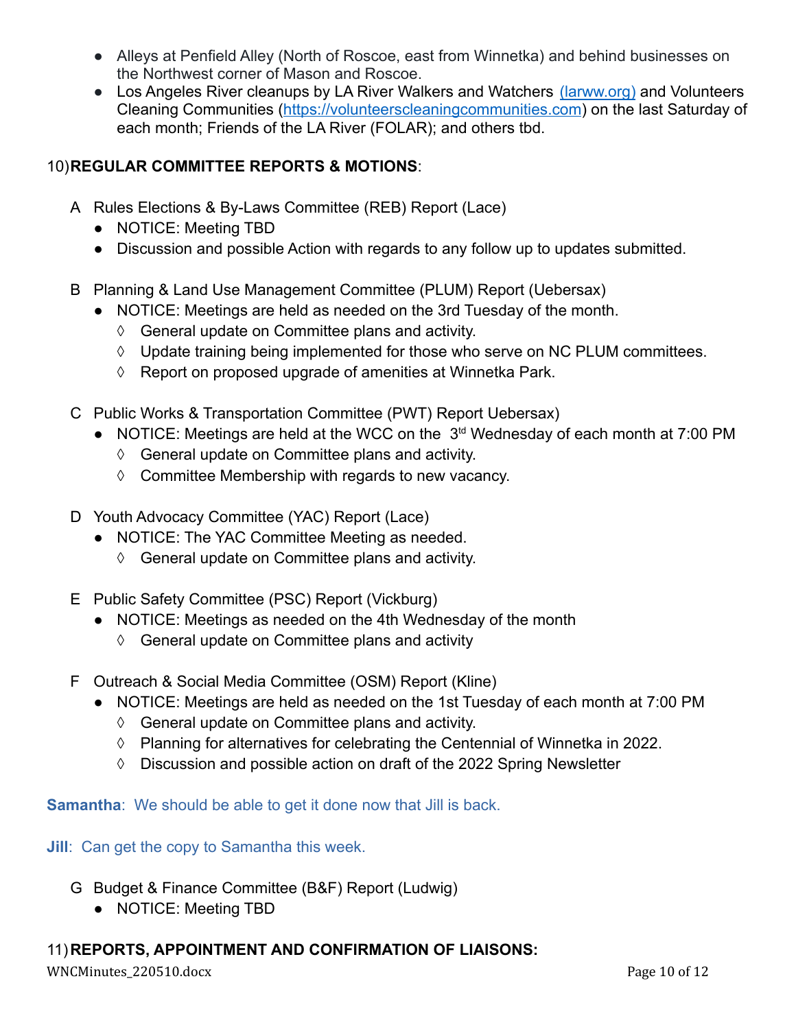- Alleys at Penfield Alley (North of Roscoe, east from Winnetka) and behind businesses on the Northwest corner of Mason and Roscoe.
- Los Angeles River cleanups by LA River Walkers and Watchers [\(larww.org\)](http://larww.org/) and Volunteers Cleaning Communities (<https://volunteerscleaningcommunities.com>) on the last Saturday of each month; Friends of the LA River (FOLAR); and others tbd.

## 10)**REGULAR COMMITTEE REPORTS & MOTIONS**:

- A Rules Elections & By-Laws Committee (REB) Report (Lace)
	- **●** NOTICE: Meeting TBD
	- **●** Discussion and possible Action with regards to any follow up to updates submitted.
- B Planning & Land Use Management Committee (PLUM) Report (Uebersax)
	- NOTICE: Meetings are held as needed on the 3rd Tuesday of the month.
		- ◊ General update on Committee plans and activity.
		- ◊ Update training being implemented for those who serve on NC PLUM committees.
		- ◊ Report on proposed upgrade of amenities at Winnetka Park.
- C Public Works & Transportation Committee (PWT) Report Uebersax)
	- NOTICE: Meetings are held at the WCC on the 3<sup>td</sup> Wednesday of each month at 7:00 PM
		- ◊ General update on Committee plans and activity.
		- ◊ Committee Membership with regards to new vacancy.
- D Youth Advocacy Committee (YAC) Report (Lace)
	- NOTICE: The YAC Committee Meeting as needed.
		- ◊ General update on Committee plans and activity.
- E Public Safety Committee (PSC) Report (Vickburg)
	- NOTICE: Meetings as needed on the 4th Wednesday of the month
		- ◊ General update on Committee plans and activity
- F Outreach & Social Media Committee (OSM) Report (Kline)
	- NOTICE: Meetings are held as needed on the 1st Tuesday of each month at 7:00 PM
		- ◊ General update on Committee plans and activity.
		- ◊ Planning for alternatives for celebrating the Centennial of Winnetka in 2022.
		- ◊ Discussion and possible action on draft of the 2022 Spring Newsletter

**Samantha**: We should be able to get it done now that Jill is back.

**Jill:** Can get the copy to Samantha this week.

- G Budget & Finance Committee (B&F) Report (Ludwig)
	- NOTICE: Meeting TBD

## 11)**REPORTS, APPOINTMENT AND CONFIRMATION OF LIAISONS:**

WNCMinutes\_220510.docx Page 10 of 12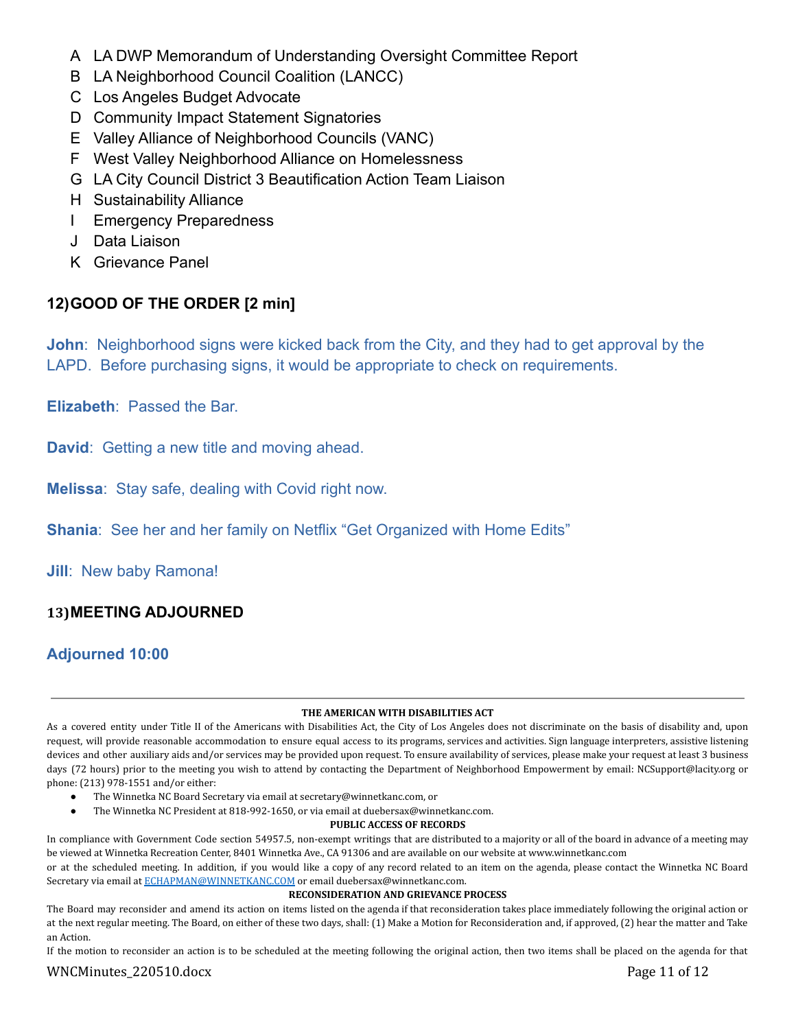- A LA DWP Memorandum of Understanding Oversight Committee Report
- B LA Neighborhood Council Coalition (LANCC)
- C Los Angeles Budget Advocate
- D Community Impact Statement Signatories
- E Valley Alliance of Neighborhood Councils (VANC)
- F West Valley Neighborhood Alliance on Homelessness
- G LA City Council District 3 Beautification Action Team Liaison
- H Sustainability Alliance
- I Emergency Preparedness
- J Data Liaison
- K Grievance Panel

## **12)GOOD OF THE ORDER [2 min]**

**John**: Neighborhood signs were kicked back from the City, and they had to get approval by the LAPD. Before purchasing signs, it would be appropriate to check on requirements.

**Elizabeth**: Passed the Bar.

**David**: Getting a new title and moving ahead.

**Melissa**: Stay safe, dealing with Covid right now.

**Shania: See her and her family on Netflix "Get Organized with Home Edits"** 

**Jill**: New baby Ramona!

## **13)MEETING ADJOURNED**

## **Adjourned 10:00**

### **THE AMERICAN WITH DISABILITIES ACT**

As a covered entity under Title II of the Americans with Disabilities Act, the City of Los Angeles does not discriminate on the basis of disability and, upon request, will provide reasonable accommodation to ensure equal access to its programs, services and activities. Sign language interpreters, assistive listening devices and other auxiliary aids and/or services may be provided upon request. To ensure availability of services, please make your request at least 3 business days (72 hours) prior to the meeting you wish to attend by contacting the Department of Neighborhood Empowerment by email: NCSupport@lacity.org or phone: (213) 978-1551 and/or either:

- The Winnetka NC Board Secretary via email at secretary@winnetkanc.com, or
- The Winnetka NC President at 818-992-1650, or via email at duebersax@winnetkanc.com.

### **PUBLIC ACCESS OF RECORDS**

In compliance with Government Code section 54957.5, non-exempt writings that are distributed to a majority or all of the board in advance of a meeting may be viewed at Winnetka Recreation Center, 8401 Winnetka Ave., CA 91306 and are available on our website at www.winnetkanc.com

or at the scheduled meeting. In addition, if you would like a copy of any record related to an item on the agenda, please contact the Winnetka NC Board Secretary via email at [ECHAPMAN@WINNETKANC.COM](mailto:ECHAPMAN@WINNETKANC.COM) or email duebersax@winnetkanc.com.

### **RECONSIDERATION AND GRIEVANCE PROCESS**

The Board may reconsider and amend its action on items listed on the agenda if that reconsideration takes place immediately following the original action or at the next regular meeting. The Board, on either of these two days, shall: (1) Make a Motion for Reconsideration and, if approved, (2) hear the matter and Take an Action.

If the motion to reconsider an action is to be scheduled at the meeting following the original action, then two items shall be placed on the agenda for that

### WNCMinutes\_220510.docx Page 11 of 12